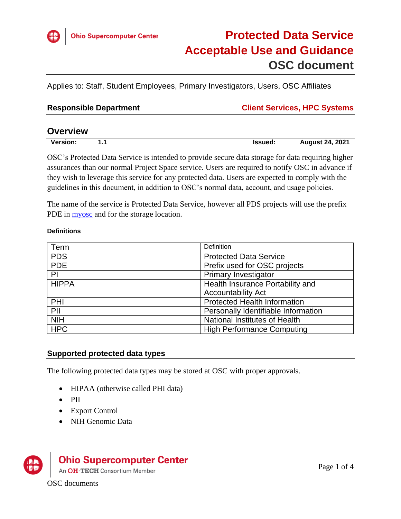

Applies to: Staff, Student Employees, Primary Investigators, Users, OSC Affiliates

| <b>Responsible Department</b> | <b>Client Services, HPC Systems</b> |
|-------------------------------|-------------------------------------|
|-------------------------------|-------------------------------------|

| <b>Overview</b> |   |         |                        |
|-----------------|---|---------|------------------------|
| <b>Version:</b> | л | Issued: | <b>August 24, 2021</b> |

OSC's Protected Data Service is intended to provide secure data storage for data requiring higher assurances than our normal Project Space service. Users are required to notify OSC in advance if they wish to leverage this service for any protected data. Users are expected to comply with the guidelines in this document, in addition to OSC's normal data, account, and usage policies.

The name of the service is Protected Data Service, however all PDS projects will use the prefix PDE in **myosc** and for the storage location.

#### **Definitions**

| Term         | Definition                          |  |
|--------------|-------------------------------------|--|
| <b>PDS</b>   | <b>Protected Data Service</b>       |  |
| <b>PDE</b>   | Prefix used for OSC projects        |  |
| PI           | <b>Primary Investigator</b>         |  |
| <b>HIPPA</b> | Health Insurance Portability and    |  |
|              | <b>Accountability Act</b>           |  |
| PHI          | <b>Protected Health Information</b> |  |
| PII          | Personally Identifiable Information |  |
| <b>NIH</b>   | National Institutes of Health       |  |
| <b>HPC</b>   | <b>High Performance Computing</b>   |  |

## **Supported protected data types**

The following protected data types may be stored at OSC with proper approvals.

- HIPAA (otherwise called PHI data)
- PII
- Export Control
- NIH Genomic Data



# **Ohio Supercomputer Center**

An OH·TECH Consortium Member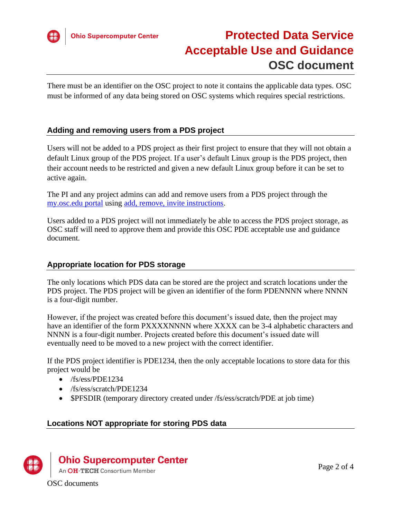

There must be an identifier on the OSC project to note it contains the applicable data types. OSC must be informed of any data being stored on OSC systems which requires special restrictions.

# **Adding and removing users from a PDS project**

Users will not be added to a PDS project as their first project to ensure that they will not obtain a default Linux group of the PDS project. If a user's default Linux group is the PDS project, then their account needs to be restricted and given a new default Linux group before it can be set to active again.

The PI and any project admins can add and remove users from a PDS project through the [my.osc.edu portal](https://my.osc.edu/) using [add, remove, invite instructions.](https://www.osc.edu/supercomputing/portals/client_portal/invite_add_remove_users)

Users added to a PDS project will not immediately be able to access the PDS project storage, as OSC staff will need to approve them and provide this OSC PDE acceptable use and guidance document.

## **Appropriate location for PDS storage**

The only locations which PDS data can be stored are the project and scratch locations under the PDS project. The PDS project will be given an identifier of the form PDENNNN where NNNN is a four-digit number.

However, if the project was created before this document's issued date, then the project may have an identifier of the form PXXXXNNNN where XXXX can be 3-4 alphabetic characters and NNNN is a four-digit number. Projects created before this document's issued date will eventually need to be moved to a new project with the correct identifier.

If the PDS project identifier is PDE1234, then the only acceptable locations to store data for this project would be

- /fs/ess/PDE1234
- /fs/ess/scratch/PDE1234
- \$PFSDIR (temporary directory created under /fs/ess/scratch/PDE at job time)

# **Locations NOT appropriate for storing PDS data**



# **Ohio Supercomputer Center**

An OH·TECH Consortium Member

OSC documents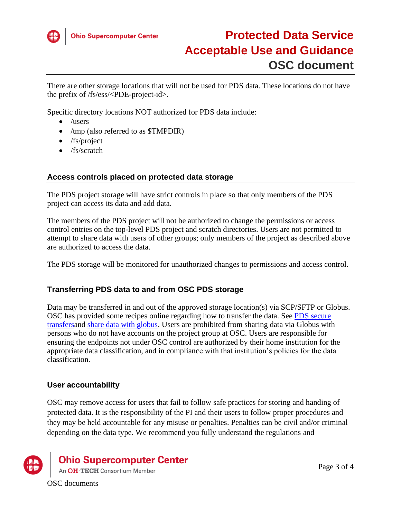

There are other storage locations that will not be used for PDS data. These locations do not have the prefix of /fs/ess/<PDE-project-id>.

Specific directory locations NOT authorized for PDS data include:

- /users
- /tmp (also referred to as  $$TMPDIR$ )
- /fs/project
- /fs/scratch

#### **Access controls placed on protected data storage**

The PDS project storage will have strict controls in place so that only members of the PDS project can access its data and add data.

The members of the PDS project will not be authorized to change the permissions or access control entries on the top-level PDS project and scratch directories. Users are not permitted to attempt to share data with users of other groups; only members of the project as described above are authorized to access the data.

The PDS storage will be monitored for unauthorized changes to permissions and access control.

## **Transferring PDS data to and from OSC PDS storage**

Data may be transferred in and out of the approved storage location(s) via SCP/SFTP or Globus. OSC has provided some recipes online regarding how to transfer the data. See **PDS** secure [transfersa](https://www.osc.edu/resources/protected_data_storage/securely_transferring_files_to_protected_data_location)nd [share data with globus.](https://www.osc.edu/resources/getting_started/howto/howto_use_globus_overview/howto_share_data_using_globus) Users are prohibited from sharing data via Globus with persons who do not have accounts on the project group at OSC. Users are responsible for ensuring the endpoints not under OSC control are authorized by their home institution for the appropriate data classification, and in compliance with that institution's policies for the data classification.

#### **User accountability**

OSC may remove access for users that fail to follow safe practices for storing and handing of protected data. It is the responsibility of the PI and their users to follow proper procedures and they may be held accountable for any misuse or penalties. Penalties can be civil and/or criminal depending on the data type. We recommend you fully understand the regulations and



**Ohio Supercomputer Center** 

An OH·TECH Consortium Member

OSC documents